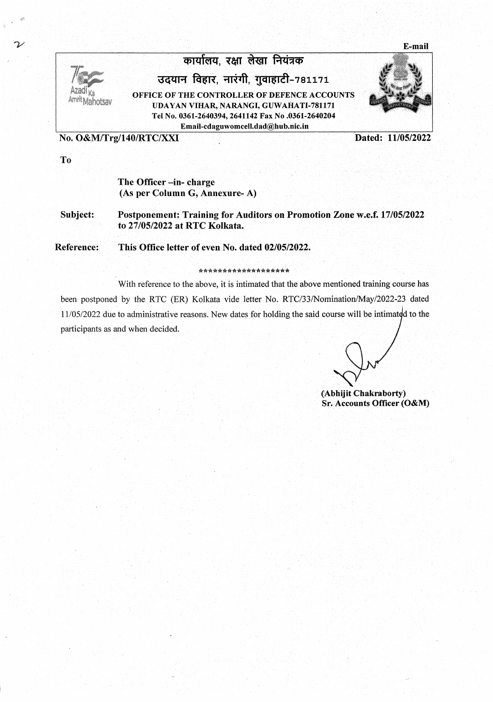E-mail



## कार्यालय, रक्षा लेखा नियंत्रक

उदयान विहार, नारंगी, गुवाहाटी-781171

OFFICE OF THE CONTROLLER OF DEFENCE ACCOUNTS UDAYAN VIHAR, NARANGI, GUWAHATI-781171 Tel No. 0361-2640394, 2641142 Fax No .0361-2640204 Email-cdaguwomcell.dad@hub.nic.in

No. O&M/Trg/140/RTC/XXI

Dated: 11/05/2022

To

## The Officer -in-charge (As per Column G, Annexure-A)

Subject: Postponement: Training for Auditors on Promotion Zone w.e.f. 17/05/2022 to 27/05/2022 at RTC Kolkata.

Reference: This Office letter of even No. dated 02/05/2022.

## \*\*\*\*\*\*\*\*\*\*\*\*\*\*\*\*\*\*\*

With reference to the above, it is intimated that the above mentioned training course has been postponed by the RTC (ER) Kolkata vide letter No. RTC/33/Nomination/May/2022-23 dated 11/05/2022 due to administrative reasons. New dates for holding the said course will be intimated to the participants as and when decided.

(Abhijit Chakraborty) Sr. Accounts Officer (O&M)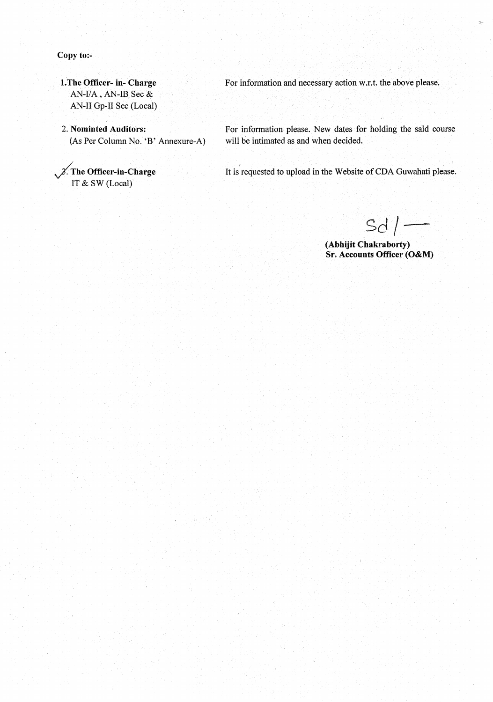Copy to:-

1. The Officer- in- Charge AN-I/A, AN-IB Sec  $&$ AN-II Gp-II Sec (Local)

2. Nominted Auditors: (As Per Column No. 'B' Annexure-A)

 $\chi$ . The Officer-in-Charge IT & SW (Local)

For information and necessary action w.r.t. the above please.

For information please. New dates for holding the said course will be intimated as and when decided.

It is requested to upload in the Website of CDA Guwahati please.

 $Sd$  /-

(Abhijit Chakraborty) Sr. Accounts Officer (O&M)